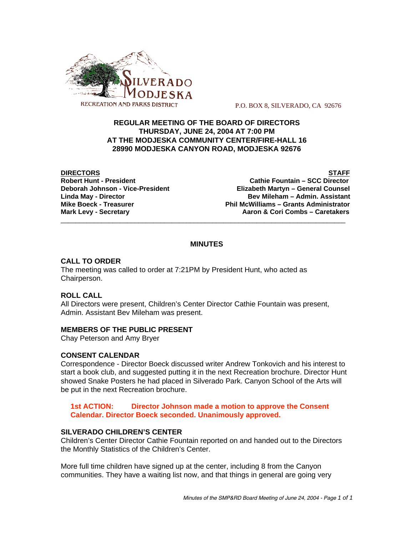

P.O. BOX 8, SILVERADO, CA 92676

## **REGULAR MEETING OF THE BOARD OF DIRECTORS THURSDAY, JUNE 24, 2004 AT 7:00 PM AT THE MODJESKA COMMUNITY CENTER/FIRE-HALL 16 28990 MODJESKA CANYON ROAD, MODJESKA 92676**

**DIRECTORS STAFF Robert Hunt - President Cathie Fountain – SCC Director Deborah Johnson - Vice-President Elizabeth Martyn – General Counsel Linda May - Director Bev Mileham – Admin. Assistant Mike Boeck - Treasurer Phil McWilliams – Grants Administrator** Mark Levy - Secretary **Actual 2018** Aaron & Cori Combs – Caretakers

# **MINUTES**

\_\_\_\_\_\_\_\_\_\_\_\_\_\_\_\_\_\_\_\_\_\_\_\_\_\_\_\_\_\_\_\_\_\_\_\_\_\_\_\_\_\_\_\_\_\_\_\_\_\_\_\_\_\_\_\_\_\_\_\_\_\_\_\_\_\_\_\_\_\_\_\_\_\_\_\_\_

## **CALL TO ORDER**

The meeting was called to order at 7:21PM by President Hunt, who acted as Chairperson.

# **ROLL CALL**

All Directors were present, Children's Center Director Cathie Fountain was present, Admin. Assistant Bev Mileham was present.

#### **MEMBERS OF THE PUBLIC PRESENT**

Chay Peterson and Amy Bryer

#### **CONSENT CALENDAR**

Correspondence - Director Boeck discussed writer Andrew Tonkovich and his interest to start a book club, and suggested putting it in the next Recreation brochure. Director Hunt showed Snake Posters he had placed in Silverado Park. Canyon School of the Arts will be put in the next Recreation brochure.

**1st ACTION: Director Johnson made a motion to approve the Consent Calendar. Director Boeck seconded. Unanimously approved.**

#### **SILVERADO CHILDREN'S CENTER**

Children's Center Director Cathie Fountain reported on and handed out to the Directors the Monthly Statistics of the Children's Center.

More full time children have signed up at the center, including 8 from the Canyon communities. They have a waiting list now, and that things in general are going very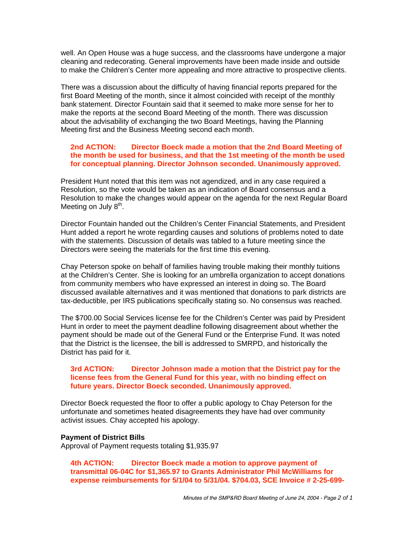well. An Open House was a huge success, and the classrooms have undergone a major cleaning and redecorating. General improvements have been made inside and outside to make the Children's Center more appealing and more attractive to prospective clients.

There was a discussion about the difficulty of having financial reports prepared for the first Board Meeting of the month, since it almost coincided with receipt of the monthly bank statement. Director Fountain said that it seemed to make more sense for her to make the reports at the second Board Meeting of the month. There was discussion about the advisability of exchanging the two Board Meetings, having the Planning Meeting first and the Business Meeting second each month.

## **2nd ACTION: Director Boeck made a motion that the 2nd Board Meeting of the month be used for business, and that the 1st meeting of the month be used for conceptual planning. Director Johnson seconded. Unanimously approved.**

President Hunt noted that this item was not agendized, and in any case required a Resolution, so the vote would be taken as an indication of Board consensus and a Resolution to make the changes would appear on the agenda for the next Regular Board Meeting on July  $8<sup>th</sup>$ .

Director Fountain handed out the Children's Center Financial Statements, and President Hunt added a report he wrote regarding causes and solutions of problems noted to date with the statements. Discussion of details was tabled to a future meeting since the Directors were seeing the materials for the first time this evening.

Chay Peterson spoke on behalf of families having trouble making their monthly tuitions at the Children's Center. She is looking for an umbrella organization to accept donations from community members who have expressed an interest in doing so. The Board discussed available alternatives and it was mentioned that donations to park districts are tax-deductible, per IRS publications specifically stating so. No consensus was reached.

The \$700.00 Social Services license fee for the Children's Center was paid by President Hunt in order to meet the payment deadline following disagreement about whether the payment should be made out of the General Fund or the Enterprise Fund. It was noted that the District is the licensee, the bill is addressed to SMRPD, and historically the District has paid for it.

#### **3rd ACTION: Director Johnson made a motion that the District pay for the license fees from the General Fund for this year, with no binding effect on future years. Director Boeck seconded. Unanimously approved.**

Director Boeck requested the floor to offer a public apology to Chay Peterson for the unfortunate and sometimes heated disagreements they have had over community activist issues. Chay accepted his apology.

#### **Payment of District Bills**

Approval of Payment requests totaling \$1,935.97

**4th ACTION: Director Boeck made a motion to approve payment of transmittal 06-04C for \$1,365.97 to Grants Administrator Phil McWilliams for expense reimbursements for 5/1/04 to 5/31/04. \$704.03, SCE Invoice # 2-25-699-**